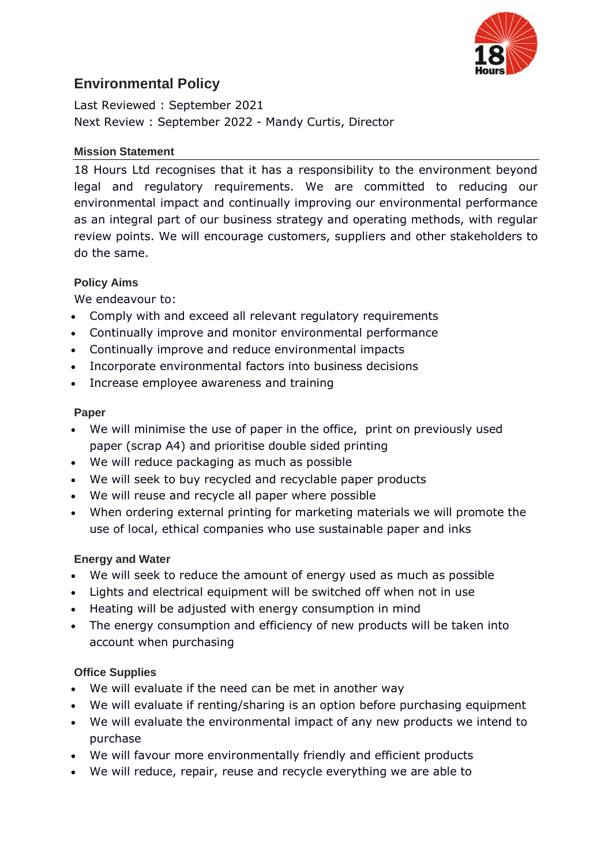

# **Environmental Policy**

Last Reviewed : September 2021 Next Review : September 2022 - Mandy Curtis, Director

#### **Mission Statement**

18 Hours Ltd recognises that it has a responsibility to the environment beyond legal and regulatory requirements. We are committed to reducing our environmental impact and continually improving our environmental performance as an integral part of our business strategy and operating methods, with regular review points. We will encourage customers, suppliers and other stakeholders to do the same.

#### **Policy Aims**

We endeavour to:

- Comply with and exceed all relevant regulatory requirements
- Continually improve and monitor environmental performance
- Continually improve and reduce environmental impacts
- Incorporate environmental factors into business decisions
- Increase employee awareness and training

#### **Paper**

- We will minimise the use of paper in the office, print on previously used paper (scrap A4) and prioritise double sided printing
- We will reduce packaging as much as possible
- We will seek to buy recycled and recyclable paper products
- We will reuse and recycle all paper where possible
- When ordering external printing for marketing materials we will promote the use of local, ethical companies who use sustainable paper and inks

#### **Energy and Water**

- We will seek to reduce the amount of energy used as much as possible
- Lights and electrical equipment will be switched off when not in use
- Heating will be adjusted with energy consumption in mind
- The energy consumption and efficiency of new products will be taken into account when purchasing

#### **Office Supplies**

- We will evaluate if the need can be met in another way
- We will evaluate if renting/sharing is an option before purchasing equipment
- We will evaluate the environmental impact of any new products we intend to purchase
- We will favour more environmentally friendly and efficient products
- We will reduce, repair, reuse and recycle everything we are able to